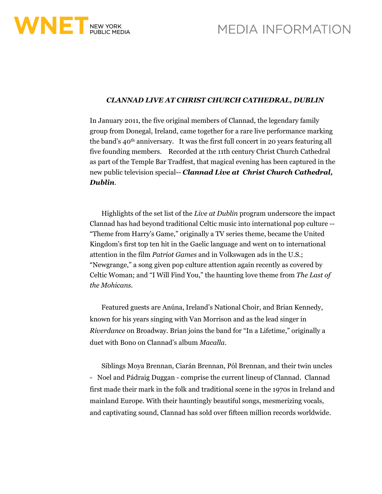



## *CLANNAD LIVE AT CHRIST CHURCH CATHEDRAL, DUBLIN*

In January 2011, the five original members of Clannad, the legendary family group from Donegal, Ireland, came together for a rare live performance marking the band's 40th anniversary. It was the first full concert in 20 years featuring all five founding members. Recorded at the 11th century Christ Church Cathedral as part of the Temple Bar Tradfest, that magical evening has been captured in the new public television special-- *Clannad Live at Christ Church Cathedral, Dublin*.

Highlights of the set list of the *Live at Dublin* program underscore the impact Clannad has had beyond traditional Celtic music into international pop culture -- "Theme from Harry's Game," originally a TV series theme, became the United Kingdom's first top ten hit in the Gaelic language and went on to international attention in the film *Patriot Games* and in Volkswagen ads in the U.S.; "Newgrange," a song given pop culture attention again recently as covered by Celtic Woman; and "I Will Find You," the haunting love theme from *The Last of the Mohicans*.

Featured guests are Anúna, Ireland's National Choir, and Brian Kennedy, known for his years singing with Van Morrison and as the lead singer in *Riverdance* on Broadway. Brian joins the band for "In a Lifetime," originally a duet with Bono on Clannad's album *Macalla.* 

Siblings Moya Brennan, Ciarán Brennan, Pól Brennan, and their twin uncles - Noel and Pádraig Duggan - comprise the current lineup of Clannad. Clannad first made their mark in the folk and traditional scene in the 1970s in Ireland and mainland Europe. With their hauntingly beautiful songs, mesmerizing vocals, and captivating sound, Clannad has sold over fifteen million records worldwide.